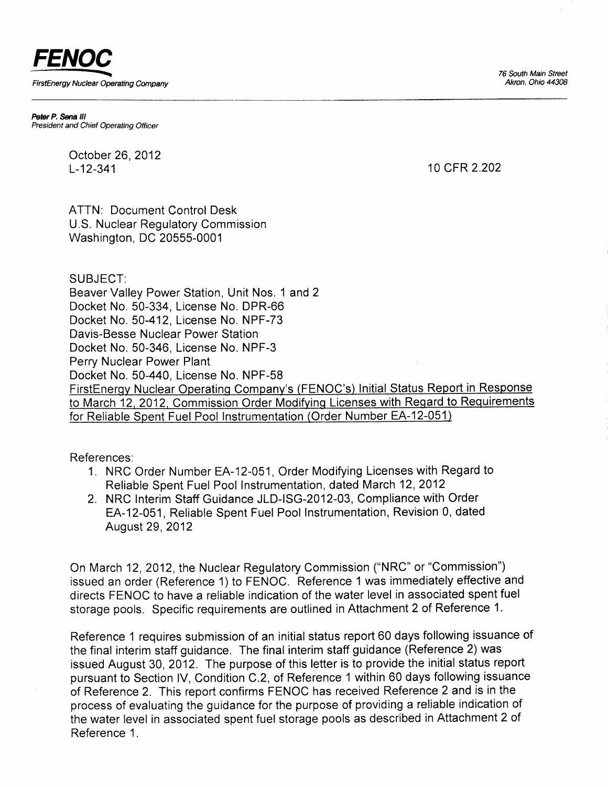76 South Main Street Akron. Ohio 44308



Peter P. Sena III President and Chief Operating Officer

> October 26,2012 L-12-341

10 cFR 2.202

ATTN: Document Control Desk U.S. Nuclear Regulatory Commission Washington, DC 20555-0001

SUBJECT:

Beaver Valley Power Station, Unit Nos. 1 and 2 Docket No. 50-334, License No. DPR-66 Docket No. 50-412, License No. NPF-73 Davis-Besse Nuclear Power Station Docket No. 50-346, License No. NPF-3 Perry Nuclear Power Plant Docket No. 50-440, License No. NPF-58 FirstEnergy Nuclear Operating Company's (FENOC's) Initial Status Report in Response to March 12, 2012, Commission Order Modifying Licenses with Regard to Requirements for Reliable Spent Fuel Pool Instrumentation (Order Number EA-12-051)

References:

- 1. NRC Order Number EA-12-051, Order Modifying Licenses with Regard to Reliable Spent Fuel Pool Instrumentation, dated March 12,2012
- 2. NRC lnterim Staff Guidance JLD-lSG-2012-03, Compliance with Order EA-12-051 , Reliable Spent Fuel Pool Instrumentation, Revision 0, dated August 29, 2012

On March 12,2012, the Nuclear Regulatory Commission ("NRC" or "Commission") issued an order (Reference 1) to FENOC. Reference 1 was immediately effective and directs FENOC to have a reliable indication of the water level in associated spent fuel storage pools, Specific requirements are outlined in Attachment 2 of Reference 1.

Reference 1 requires submission of an initial status report 60 days following issuance of the final interim staff guidance. The final interim staff guidance (Reference 2) was issued August 30, 2012. The purpose of this letter is to provide the initial status report pursuant to Section lV, Condition C.2, of Reference 1 within 60 days following issuance of Reference 2. This report confirms FENOC has received Reference2 and is in the process of evaluating the guidance for the purpose of providing a reliable indication of the water level in associated spent fuel storage pools as described in Attachment 2 of Reference 1 .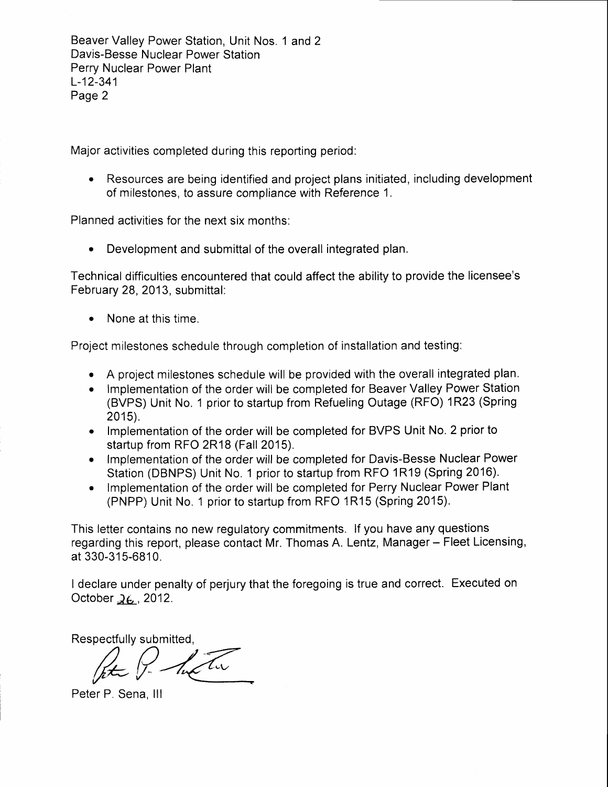Beaver Valley Power Station, Unit Nos. 1 and 2 Davis-Besse Nuclear Power Station Perry Nuclear Power Plant L-12-341 Page 2

Major activities completed during this reporting period:

Resources are being identified and project plans initiated, including development of milestones, to assure compliance with Reference 1.

Planned activities for the next six months:

. Development and submittal of the overall integrated plan.

Technical difficulties encountered that could affect the ability to provide the licensee's February 28, 2013, submittal:

None at this time.

Project milestones schedule through completion of installation and testing:

- . A project milestones chedule will be provided with the overall integrated plan.
- Implementation of the order will be completed for Beaver Valley Power Station (BVPS) Unit No. 1 prior to startup from Refueling Outage (RFO) 1R23 (Spring  $2015$ ).
- Implementation of the order will be completed for BVPS Unit No. 2 prior to startup from RFO 2R18 (Fall 2015).
- Implementation of the order will be completed for Davis-Besse Nuclear Power Station (DBNPS) Unit No. 1 prior to startup from RFO 1R19 (Spring 2016).
- Implementation of the order will be completed for Perry Nuclear Power Plant (PNPP) Unit No. 1 prior to startup from RFO 1R15 (Spring 2015).

This letter contains no new regulatory commitments. lf you have any questions regarding this report, please contact Mr. Thomas A. Lentz, Manager - Fleet Licensing, at 330-315-6810.

I declare under penalty of perjury that the foregoing is true and correct. Executed on October  $\lambda_6$ , 2012.

Respectfully submitted,

Peter P. Sena, III